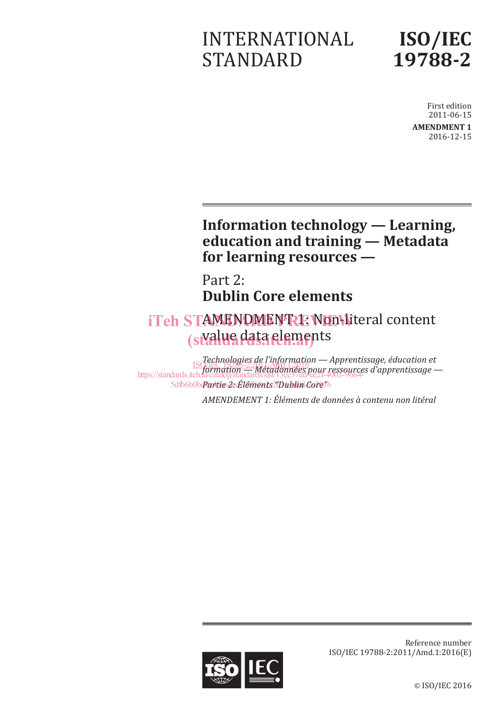# INTERNATIONAL STANDARD

# **ISO/IEC 19788-2**

First edition 2011-06-15 **AMENDMENT 1** 2016-12-15

### **Information technology — Learning, education and training — Metadata for learning resources —**

Part 2: **Dublin Core elements**

## iTeh STAMENDMENTRE Non-literal content stalus data elements

*Technologies de l'information — Apprentissage, éducation et*  <u>fs de famologies de l'Alga figulo</u>n — Apprentissage, education et<br><sub>ab</sub> formation — Métadonnées pour ressources d'apprentissage — 5dfb6b0b*Rantie* **2: Éléments "Dublin! Core"** 6 https://standards.iteh.ai/catalog/standards/sist/13cc37ed-ee2f-4001-9664-

*AMENDEMENT 1: Éléments de données à contenu non litéral*



Reference number ISO/IEC 19788-2:2011/Amd.1:2016(E)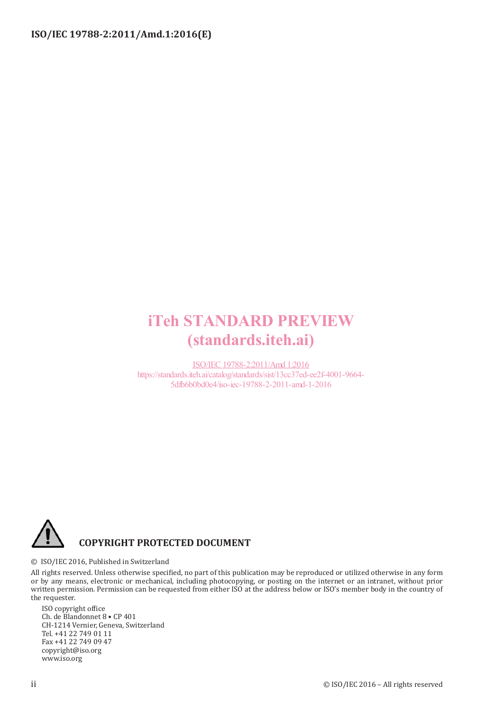## iTeh STANDARD PREVIEW (standards.iteh.ai)

ISO/IEC 19788-2:2011/Amd 1:2016 https://standards.iteh.ai/catalog/standards/sist/13cc37ed-ee2f-4001-9664- 5dfb6b0bd0e4/iso-iec-19788-2-2011-amd-1-2016



© ISO/IEC 2016, Published in Switzerland

All rights reserved. Unless otherwise specified, no part of this publication may be reproduced or utilized otherwise in any form or by any means, electronic or mechanical, including photocopying, or posting on the internet or an intranet, without prior written permission. Permission can be requested from either ISO at the address below or ISO's member body in the country of the requester.

ISO copyright office Ch. de Blandonnet 8 • CP 401 CH-1214 Vernier, Geneva, Switzerland Tel. +41 22 749 01 11 Fax +41 22 749 09 47 copyright@iso.org www.iso.org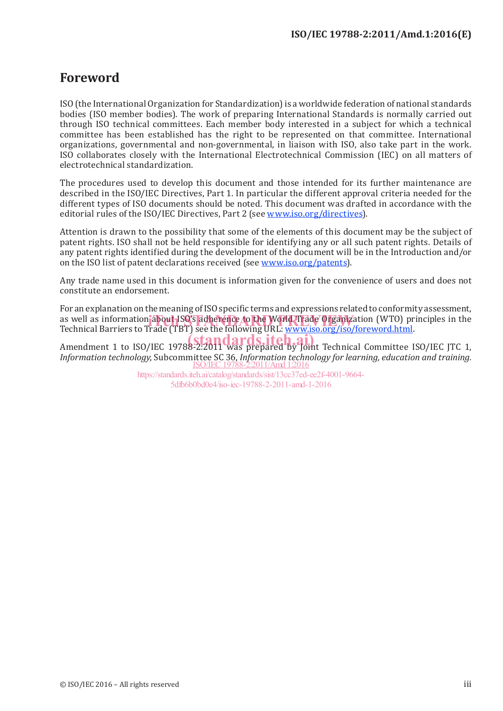### **Foreword**

ISO (the International Organization for Standardization) is a worldwide federation of national standards bodies (ISO member bodies). The work of preparing International Standards is normally carried out through ISO technical committees. Each member body interested in a subject for which a technical committee has been established has the right to be represented on that committee. International organizations, governmental and non-governmental, in liaison with ISO, also take part in the work. ISO collaborates closely with the International Electrotechnical Commission (IEC) on all matters of electrotechnical standardization.

The procedures used to develop this document and those intended for its further maintenance are described in the ISO/IEC Directives, Part 1. In particular the different approval criteria needed for the different types of ISO documents should be noted. This document was drafted in accordance with the editorial rules of the ISO/IEC Directives, Part 2 (see www.iso.org/directives).

Attention is drawn to the possibility that some of the elements of this document may be the subject of patent rights. ISO shall not be held responsible for identifying any or all such patent rights. Details of any patent rights identified during the development of the document will be in the Introduction and/or on the ISO list of patent declarations received (see www.iso.org/patents).

Any trade name used in this document is information given for the convenience of users and does not constitute an endorsement.

For an explanation on the meaning of ISO specific terms and expressions related to conformity assessment, as well as information about ISO's adherence to the World Trade Organization (WTO) principles in the<br>Technical Barriers to Trade (TBT) see the following URL: www.iso.org/iso/foreword html Technical Barriers to Trade (TBT) see the following URL: www.iso.org/iso/foreword.html.

Amendment 1 to ISO/IEC 19788-2:2011 was prepared by Joint Technical Committee ISO/IEC JTC 1, *Information technology*, Subcommittee SC 36, *Information technology for learning, education and training.* ISO/IEC 19788-2:2011/Amd 1:2016

> https://standards.iteh.ai/catalog/standards/sist/13cc37ed-ee2f-4001-9664- 5dfb6b0bd0e4/iso-iec-19788-2-2011-amd-1-2016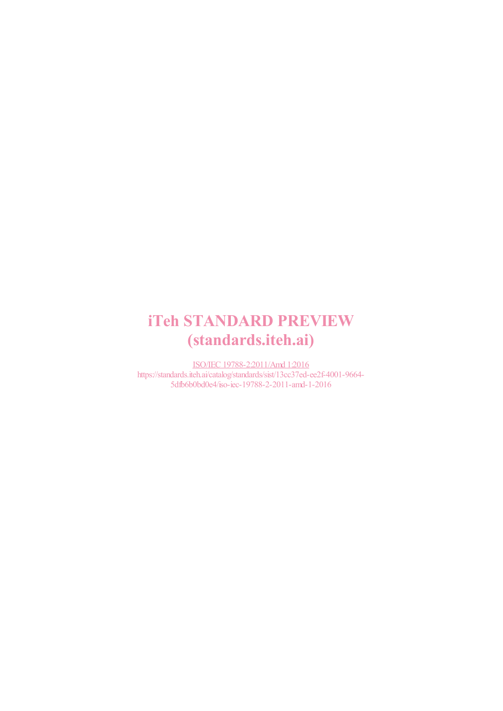## iTeh STANDARD PREVIEW (standards.iteh.ai)

ISO/IEC 19788-2:2011/Amd 1:2016 https://standards.iteh.ai/catalog/standards/sist/13cc37ed-ee2f-4001-9664- 5dfb6b0bd0e4/iso-iec-19788-2-2011-amd-1-2016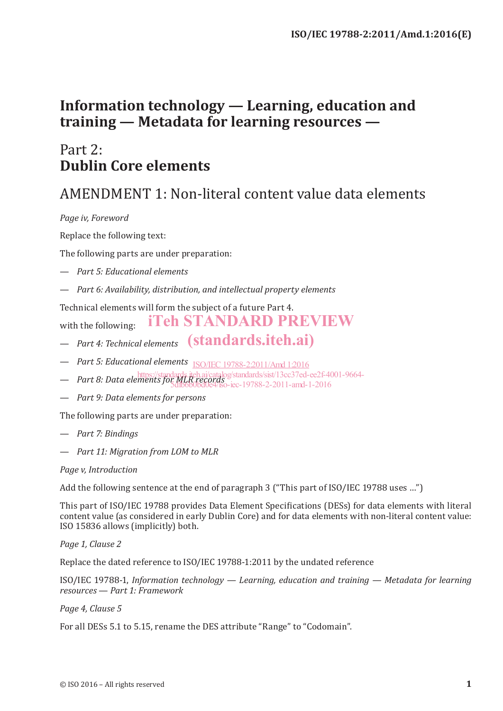### **Information technology — Learning, education and training — Metadata for learning resources —**

### Part 2: **Dublin Core elements**

### AMENDMENT 1: Non-literal content value data elements

iTeh STANDARD PREVIEW

*Page iv, Foreword*

Replace the following text:

The following parts are under preparation:

- *Part 5: Educational elements*
- *Part 6: Availability, distribution, and intellectual property elements*

Technical elements will form the subject of a future Part 4.

with the following:

- *Part 4: Technical elements* (standards.iteh.ai)
- *Part 5: Educational elements* ISO/IEC 19788-2:2011/Amd 1:2016
- *Part 8: Data elements for MLR records* https://standards.iteh.ai/catalog/standards/sist/13cc37ed-ee2f-4001-9664-
- 5dfb6b0bd0e4/iso-iec-19788-2-2011-amd-1-2016
- *Part 9: Data elements for persons*

The following parts are under preparation:

- *Part 7: Bindings*
- *Part 11: Migration from LOM to MLR*

*Page v, Introduction*

Add the following sentence at the end of paragraph 3 ("This part of ISO/IEC 19788 uses …")

This part of ISO/IEC 19788 provides Data Element Specifications (DESs) for data elements with literal content value (as considered in early Dublin Core) and for data elements with non-literal content value: ISO 15836 allows (implicitly) both.

*Page 1, Clause 2*

Replace the dated reference to ISO/IEC 19788-1:2011 by the undated reference

ISO/IEC 19788-1, *Information technology — Learning, education and training — Metadata for learning resources* — *Part 1: Framework*

*Page 4, Clause 5*

For all DESs 5.1 to 5.15, rename the DES attribute "Range" to "Codomain".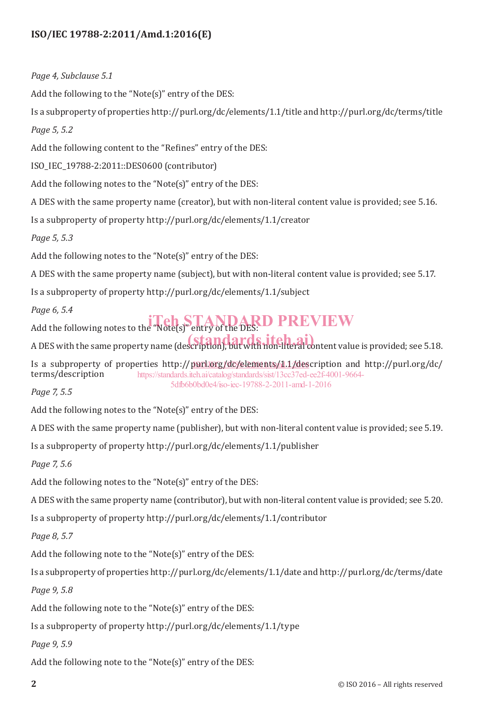#### **ISO/IEC 19788-2:2011/Amd.1:2016(E)**

*Page 4, Subclause 5.1*

Add the following to the "Note(s)" entry of the DES:

Is a subproperty of properties http :// purl.org/dc/elements/1.1/title and http :// purl.org/dc/terms/title

*Page 5, 5.2*

Add the following content to the "Refines" entry of the DES:

ISO\_IEC\_19788-2:2011::DES0600 (contributor)

Add the following notes to the "Note(s)" entry of the DES:

A DES with the same property name (creator), but with non-literal content value is provided; see 5.16.

Is a subproperty of property http :// purl.org/dc/elements/1.1/creator

*Page 5, 5.3*

Add the following notes to the "Note(s)" entry of the DES:

A DES with the same property name (subject), but with non-literal content value is provided; see 5.17.

Is a subproperty of property http :// purl.org/dc/elements/1.1/subject

*Page 6, 5.4*

# Add the following notes to the "Note(s)" entry of the DES:  $\blacksquare$  PREVIEW

A DES with the same property name (description), but with non-literal content value is provided; see 5.18.

Is a subproperty of properties http://<u>purl@rg/dc/elements/1.1/des</u>cription and http://purl.org/dc/ terms/description https://standards.iteh.ai/catalog/standards/sist/13cc37ed-ee2f-4001-9664- 5dfb6b0bd0e4/iso-iec-19788-2-2011-amd-1-2016

*Page 7, 5.5*

Add the following notes to the "Note(s)" entry of the DES:

A DES with the same property name (publisher), but with non-literal content value is provided; see 5.19.

Is a subproperty of property http :// purl.org/dc/elements/1.1/publisher

*Page 7, 5.6*

Add the following notes to the "Note(s)" entry of the DES:

A DES with the same property name (contributor), but with non-literal content value is provided; see 5.20.

Is a subproperty of property http :// purl.org/dc/elements/1.1/contributor

*Page 8, 5.7*

Add the following note to the "Note(s)" entry of the DES:

Is a subproperty of properties http :// purl.org/dc/elements/1.1/date and http :// purl.org/dc/terms/date

*Page 9, 5.8*

Add the following note to the "Note(s)" entry of the DES:

Is a subproperty of property http :// purl.org/dc/elements/1.1/type

*Page 9, 5.9*

Add the following note to the "Note(s)" entry of the DES: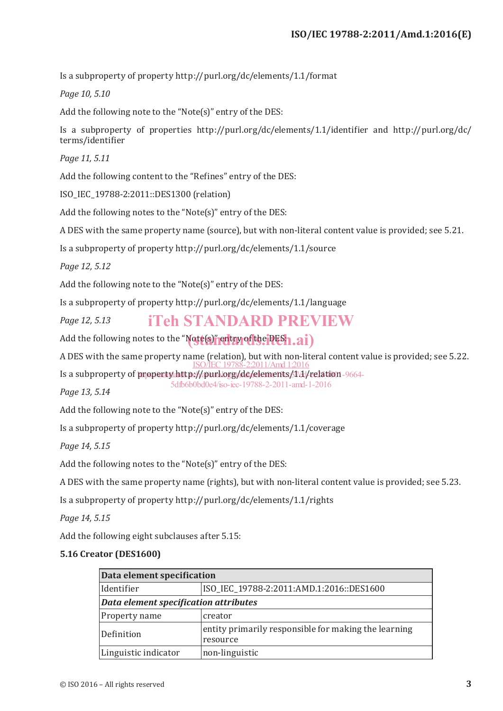Is a subproperty of property http :// purl.org/dc/elements/1.1/format

*Page 10, 5.10*

Add the following note to the "Note(s)" entry of the DES:

Is a subproperty of properties http :// purl.org/dc/elements/1.1/identifier and http :// purl.org/dc/ terms/identifier

*Page 11, 5.11*

Add the following content to the "Refines" entry of the DES:

ISO\_IEC\_19788-2:2011::DES1300 (relation)

Add the following notes to the "Note(s)" entry of the DES:

A DES with the same property name (source), but with non-literal content value is provided; see 5.21.

Is a subproperty of property http :// purl.org/dc/elements/1.1/source

*Page 12, 5.12*

Add the following note to the "Note(s)" entry of the DES:

Is a subproperty of property http :// purl.org/dc/elements/1.1/language

*Page 12, 5.13* iTeh STANDARD PREVIEW

Add the following notes to the "Note(s)" entry of the PESh.ai)

A DES with the same property name (relation), but with non-literal content value is provided; see 5.22. 2011/Amd 1:2016

Is a subproperty of property.http:///purl.logg/dc/elements/12l/relation-9664-5dfb6b0bd0e4/iso-iec-19788-2-2011-amd-1-2016

*Page 13, 5.14*

Add the following note to the "Note(s)" entry of the DES:

Is a subproperty of property http :// purl.org/dc/elements/1.1/coverage

*Page 14, 5.15*

Add the following notes to the "Note(s)" entry of the DES:

A DES with the same property name (rights), but with non-literal content value is provided; see 5.23.

Is a subproperty of property http :// purl.org/dc/elements/1.1/rights

*Page 14, 5.15*

Add the following eight subclauses after 5.15:

#### **5.16 Creator (DES1600)**

| Data element specification            |                                                                  |
|---------------------------------------|------------------------------------------------------------------|
| Identifier                            | ISO_IEC_19788-2:2011:AMD.1:2016::DES1600                         |
| Data element specification attributes |                                                                  |
| Property name                         | creator                                                          |
| Definition                            | entity primarily responsible for making the learning<br>resource |
| Linguistic indicator                  | non-linguistic                                                   |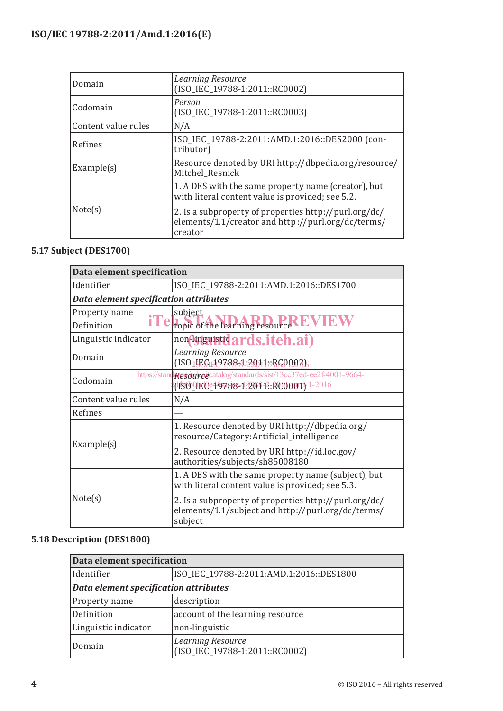### **ISO/IEC 19788-2:2011/Amd.1:2016(E)**

| Domain              | <b>Learning Resource</b><br>(ISO_IEC_19788-1:2011::RC0002)                                                             |
|---------------------|------------------------------------------------------------------------------------------------------------------------|
| Codomain            | Person<br>(ISO_IEC_19788-1:2011::RC0003)                                                                               |
| Content value rules | N/A                                                                                                                    |
| Refines             | ISO_IEC_19788-2:2011:AMD.1:2016::DES2000 (con-<br>tributor)                                                            |
| Example(s)          | Resource denoted by URI http://dbpedia.org/resource/<br>Mitchel Resnick                                                |
| Note(s)             | 1. A DES with the same property name (creator), but<br>with literal content value is provided; see 5.2.                |
|                     | 2. Is a subproperty of properties http://purl.org/dc/<br>elements/1.1/creator and http://purl.org/dc/terms/<br>creator |

### **5.17 Subject (DES1700)**

| Data element specification            |                                                                                                                        |  |
|---------------------------------------|------------------------------------------------------------------------------------------------------------------------|--|
| Identifier                            | ISO_IEC_19788-2:2011:AMD.1:2016::DES1700                                                                               |  |
| Data element specification attributes |                                                                                                                        |  |
| Property name                         | subject                                                                                                                |  |
| Definition                            | topic of the learning resource                                                                                         |  |
| Linguistic indicator                  | non-linguistic a rd<br>ten                                                                                             |  |
| Domain                                | Learning Resource<br>(ISO1EC <sub>F</sub> 197883:2011;RC0002)                                                          |  |
| Codomain                              | https://stand <b>/Resource/catalog/standards/sist/13cc37ed-ee2f-4001-9664-</b><br>4ISOUEOe49788=1.2014.:RO0001}1-2016  |  |
| Content value rules                   | N/A                                                                                                                    |  |
| Refines                               |                                                                                                                        |  |
| Example(s)                            | 1. Resource denoted by URI http://dbpedia.org/<br>resource/Category:Artificial_intelligence                            |  |
|                                       | 2. Resource denoted by URI http://id.loc.gov/<br>authorities/subjects/sh85008180                                       |  |
| Note(s)                               | 1. A DES with the same property name (subject), but<br>with literal content value is provided; see 5.3.                |  |
|                                       | 2. Is a subproperty of properties http://purl.org/dc/<br>elements/1.1/subject and http://purl.org/dc/terms/<br>subject |  |

#### **5.18 Description (DES1800)**

| Data element specification            |                                                     |  |
|---------------------------------------|-----------------------------------------------------|--|
| Identifier                            | ISO_IEC_19788-2:2011:AMD.1:2016::DES1800            |  |
| Data element specification attributes |                                                     |  |
| Property name                         | description                                         |  |
| Definition                            | account of the learning resource                    |  |
| Linguistic indicator                  | non-linguistic                                      |  |
| Domain                                | Learning Resource<br>(ISO_IEC_19788-1:2011::RC0002) |  |